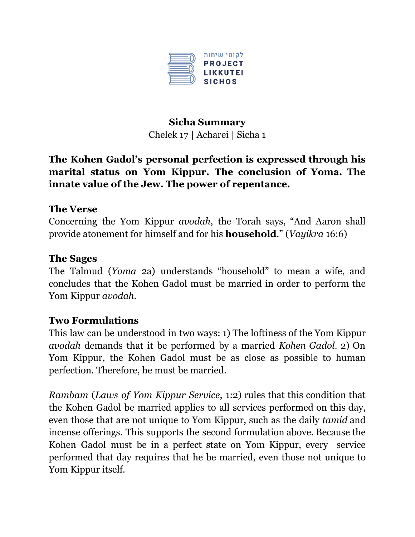

# **Sicha Summary** Chelek 17 | Acharei | Sicha 1

## **The Kohen Gadol's personal perfection is expressed through his marital status on Yom Kippur. The conclusion of Yoma. The innate value of the Jew. The power of repentance.**

## **The Verse**

Concerning the Yom Kippur *avodah*, the Torah says, "And Aaron shall provide atonement for himself and for his **household**." (*Vayikra* 16:6)

#### **The Sages**

The Talmud (*Yoma* 2a) understands "household" to mean a wife, and concludes that the Kohen Gadol must be married in order to perform the Yom Kippur *avodah*.

#### **Two Formulations**

This law can be understood in two ways: 1) The loftiness of the Yom Kippur *avodah* demands that it be performed by a married *Kohen Gadol*. 2) On Yom Kippur, the Kohen Gadol must be as close as possible to human perfection. Therefore, he must be married.

*Rambam* (*Laws of Yom Kippur Service*, 1:2) rules that this condition that the Kohen Gadol be married applies to all services performed on this day, even those that are not unique to Yom Kippur, such as the daily *tamid* and incense offerings. This supports the second formulation above. Because the Kohen Gadol must be in a perfect state on Yom Kippur, every service performed that day requires that he be married, even those not unique to Yom Kippur itself.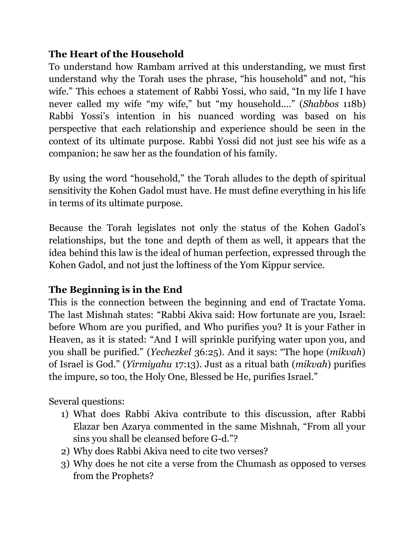## **The Heart of the Household**

To understand how Rambam arrived at this understanding, we must first understand why the Torah uses the phrase, "his household" and not, "his wife." This echoes a statement of Rabbi Yossi, who said, "In my life I have never called my wife "my wife," but "my household…." (*Shabbos* 118b) Rabbi Yossi's intention in his nuanced wording was based on his perspective that each relationship and experience should be seen in the context of its ultimate purpose. Rabbi Yossi did not just see his wife as a companion; he saw her as the foundation of his family.

By using the word "household," the Torah alludes to the depth of spiritual sensitivity the Kohen Gadol must have. He must define everything in his life in terms of its ultimate purpose.

Because the Torah legislates not only the status of the Kohen Gadol's relationships, but the tone and depth of them as well, it appears that the idea behind this law is the ideal of human perfection, expressed through the Kohen Gadol, and not just the loftiness of the Yom Kippur service.

# **The Beginning is in the End**

This is the connection between the beginning and end of Tractate Yoma. The last Mishnah states: "Rabbi Akiva said: How fortunate are you, Israel: before Whom are you purified, and Who purifies you? It is your Father in Heaven, as it is stated: "And I will sprinkle purifying water upon you, and you shall be purified." (*Yechezkel* 36:25). And it says: "The hope (*mikvah*) of Israel is God." (*Yirmiyahu* 17:13). Just as a ritual bath (*mikvah*) purifies the impure, so too, the Holy One, Blessed be He, purifies Israel."

Several questions:

- 1) What does Rabbi Akiva contribute to this discussion, after Rabbi Elazar ben Azarya commented in the same Mishnah, "From all your sins you shall be cleansed before G-d."?
- 2) Why does Rabbi Akiva need to cite two verses?
- 3) Why does he not cite a verse from the Chumash as opposed to verses from the Prophets?